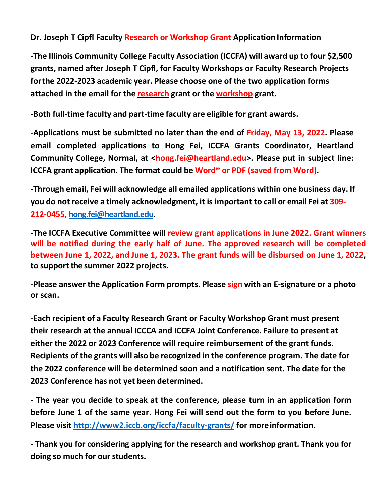## **Dr. Joseph T Cipfl Faculty Research or Workshop Grant Application Information**

**-The Illinois Community College Faculty Association (ICCFA) will award up to four \$2,500 grants, named after Joseph T Cipfl, for Faculty Workshops or Faculty Research Projects forthe 2022-2023 academic year. Please choose one of the two application forms attached in the email for the research grant or the workshop grant.**

**-Both full-time faculty and part-time faculty are eligible for grant awards.**

**-Applications must be submitted no later than the end of Friday, May 13, 2022. Please email completed applications to Hong Fei, ICCFA Grants Coordinator, Heartland Community College, Normal, at [<hong.fei@heartland.edu>.](mailto:hong.fei@heartland.edu) Please put in subject line: ICCFA grant application. The format could be Word® or PDF (saved from Word).**

**-Through email, Fei will acknowledge all emailed applications within one business day. If you do not receive a timely acknowledgment, it is important to call or email Fei at 309- 212-0455, [hong.fei@heartland.edu.](mailto:hong.fei@heartland.edu)**

**-The ICCFA Executive Committee will review grant applications in June 2022. Grant winners will be notified during the early half of June. The approved research will be completed between June 1, 2022, and June 1, 2023. The grant funds will be disbursed on June 1, 2022, to support the summer 2022 projects.**

**-Please answer the Application Form prompts. Please sign with an E-signature or a photo or scan.**

**-Each recipient of a Faculty Research Grant or Faculty Workshop Grant must present their research at the annual ICCCA and ICCFA Joint Conference. Failure to present at either the 2022 or 2023 Conference will require reimbursement of the grant funds. Recipients of the grants will also be recognized in the conference program. The date for the 2022 conference will be determined soon and a notification sent. The date for the 2023 Conference has not yet been determined.**

**- The year you decide to speak at the conference, please turn in an application form before June 1 of the same year. Hong Fei will send out the form to you before June. Please visit<http://www2.iccb.org/iccfa/faculty-grants/> for moreinformation.**

**- Thank you for considering applying for the research and workshop grant. Thank you for doing so much for our students.**